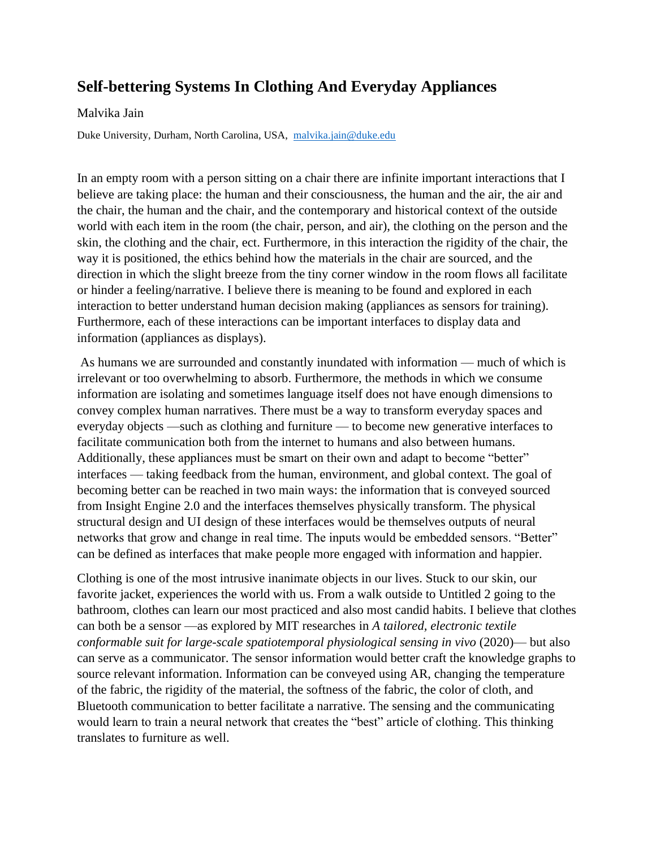## **Self-bettering Systems In Clothing And Everyday Appliances**

## Malvika Jain

Duke University, Durham, North Carolina, USA, [malvika.jain@duke.edu](mailto:malvika.jain@duke.edu)

In an empty room with a person sitting on a chair there are infinite important interactions that I believe are taking place: the human and their consciousness, the human and the air, the air and the chair, the human and the chair, and the contemporary and historical context of the outside world with each item in the room (the chair, person, and air), the clothing on the person and the skin, the clothing and the chair, ect. Furthermore, in this interaction the rigidity of the chair, the way it is positioned, the ethics behind how the materials in the chair are sourced, and the direction in which the slight breeze from the tiny corner window in the room flows all facilitate or hinder a feeling/narrative. I believe there is meaning to be found and explored in each interaction to better understand human decision making (appliances as sensors for training). Furthermore, each of these interactions can be important interfaces to display data and information (appliances as displays).

As humans we are surrounded and constantly inundated with information — much of which is irrelevant or too overwhelming to absorb. Furthermore, the methods in which we consume information are isolating and sometimes language itself does not have enough dimensions to convey complex human narratives. There must be a way to transform everyday spaces and everyday objects —such as clothing and furniture — to become new generative interfaces to facilitate communication both from the internet to humans and also between humans. Additionally, these appliances must be smart on their own and adapt to become "better" interfaces — taking feedback from the human, environment, and global context. The goal of becoming better can be reached in two main ways: the information that is conveyed sourced from Insight Engine 2.0 and the interfaces themselves physically transform. The physical structural design and UI design of these interfaces would be themselves outputs of neural networks that grow and change in real time. The inputs would be embedded sensors. "Better" can be defined as interfaces that make people more engaged with information and happier.

Clothing is one of the most intrusive inanimate objects in our lives. Stuck to our skin, our favorite jacket, experiences the world with us. From a walk outside to Untitled 2 going to the bathroom, clothes can learn our most practiced and also most candid habits. I believe that clothes can both be a sensor —as explored by MIT researches in *A tailored, electronic textile conformable suit for large-scale spatiotemporal physiological sensing in vivo* (2020)— but also can serve as a communicator. The sensor information would better craft the knowledge graphs to source relevant information. Information can be conveyed using AR, changing the temperature of the fabric, the rigidity of the material, the softness of the fabric, the color of cloth, and Bluetooth communication to better facilitate a narrative. The sensing and the communicating would learn to train a neural network that creates the "best" article of clothing. This thinking translates to furniture as well.